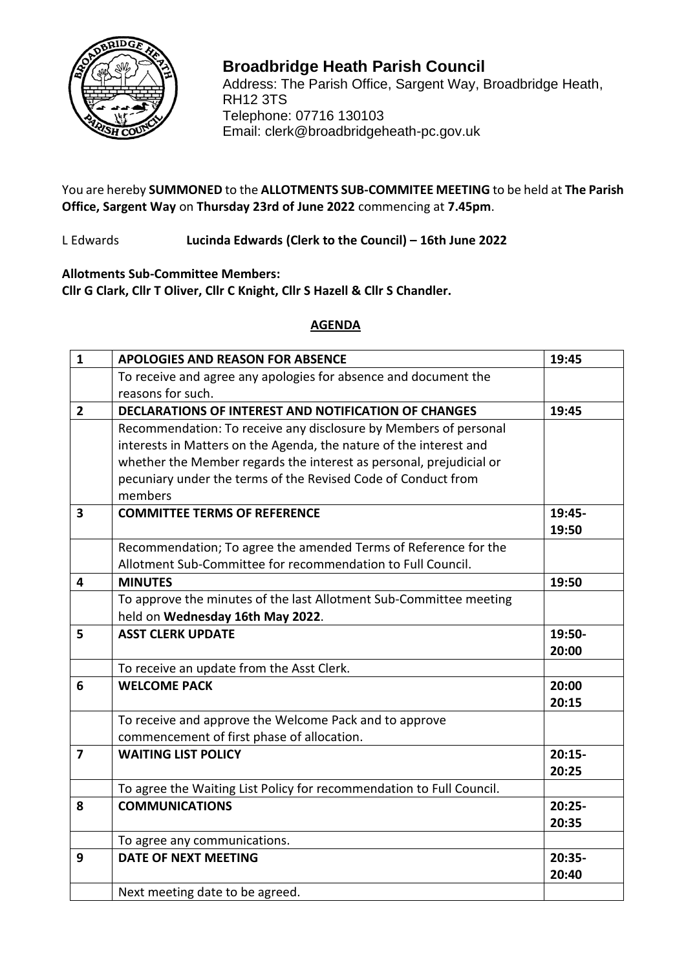

## RH12 3TS **Broadbridge Heath Parish Council** Address: The Parish Office, Sargent Way, Broadbridge Heath, Telephone: 07716 130103 Email: clerk@broadbridgeheath-pc.gov.uk

You are hereby **SUMMONED** to the **ALLOTMENTS SUB-COMMITEE MEETING** to be held at **The Parish Office, Sargent Way** on **Thursday 23rd of June 2022** commencing at **7.45pm**.

L Edwards **Lucinda Edwards (Clerk to the Council) – 16th June 2022**

**Allotments Sub-Committee Members: Cllr G Clark, Cllr T Oliver, Cllr C Knight, Cllr S Hazell & Cllr S Chandler.**

## **AGENDA**

| $\mathbf{1}$   | <b>APOLOGIES AND REASON FOR ABSENCE</b>                              | 19:45    |
|----------------|----------------------------------------------------------------------|----------|
|                | To receive and agree any apologies for absence and document the      |          |
|                | reasons for such.                                                    |          |
| $\overline{2}$ | <b>DECLARATIONS OF INTEREST AND NOTIFICATION OF CHANGES</b>          | 19:45    |
|                | Recommendation: To receive any disclosure by Members of personal     |          |
|                | interests in Matters on the Agenda, the nature of the interest and   |          |
|                | whether the Member regards the interest as personal, prejudicial or  |          |
|                | pecuniary under the terms of the Revised Code of Conduct from        |          |
|                | members                                                              |          |
| 3              | <b>COMMITTEE TERMS OF REFERENCE</b>                                  | 19:45-   |
|                |                                                                      | 19:50    |
|                | Recommendation; To agree the amended Terms of Reference for the      |          |
|                | Allotment Sub-Committee for recommendation to Full Council.          |          |
| 4              | <b>MINUTES</b>                                                       | 19:50    |
|                | To approve the minutes of the last Allotment Sub-Committee meeting   |          |
|                | held on Wednesday 16th May 2022.                                     |          |
|                |                                                                      |          |
| 5              | <b>ASST CLERK UPDATE</b>                                             | 19:50-   |
|                |                                                                      | 20:00    |
|                | To receive an update from the Asst Clerk.                            |          |
| 6              | <b>WELCOME PACK</b>                                                  | 20:00    |
|                |                                                                      | 20:15    |
|                | To receive and approve the Welcome Pack and to approve               |          |
|                | commencement of first phase of allocation.                           |          |
| $\overline{7}$ | <b>WAITING LIST POLICY</b>                                           | $20:15-$ |
|                |                                                                      | 20:25    |
|                | To agree the Waiting List Policy for recommendation to Full Council. |          |
| 8              | <b>COMMUNICATIONS</b>                                                | $20:25-$ |
|                |                                                                      | 20:35    |
|                | To agree any communications.                                         |          |
| 9              | <b>DATE OF NEXT MEETING</b>                                          | 20:35-   |
|                |                                                                      | 20:40    |